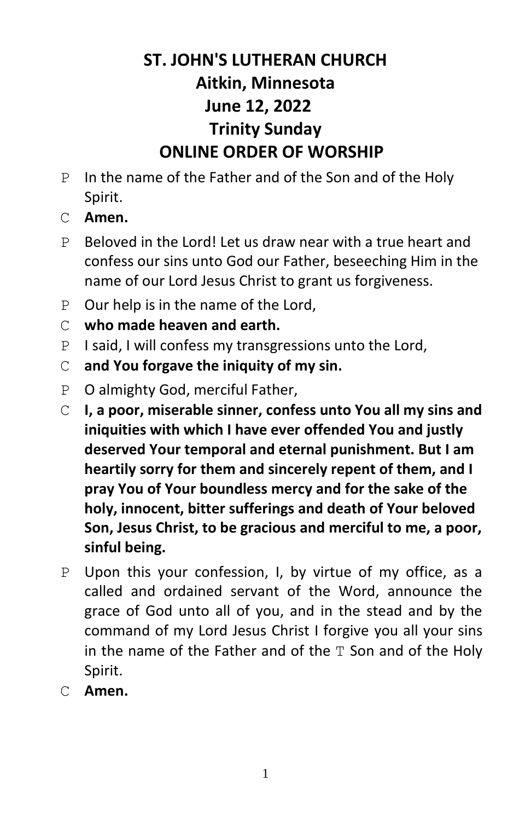## **ST. JOHN'S LUTHERAN CHURCH Aitkin, Minnesota June 12, 2022 Trinity Sunday ONLINE ORDER OF WORSHIP**

- P In the name of the Father and of the Son and of the Holy Spirit.
- C **Amen.**
- P Beloved in the Lord! Let us draw near with a true heart and confess our sins unto God our Father, beseeching Him in the name of our Lord Jesus Christ to grant us forgiveness.
- P Our help is in the name of the Lord,
- C **who made heaven and earth.**
- P I said, I will confess my transgressions unto the Lord,
- C **and You forgave the iniquity of my sin.**
- P O almighty God, merciful Father,
- C **I, a poor, miserable sinner, confess unto You all my sins and iniquities with which I have ever offended You and justly deserved Your temporal and eternal punishment. But I am heartily sorry for them and sincerely repent of them, and I pray You of Your boundless mercy and for the sake of the holy, innocent, bitter sufferings and death of Your beloved Son, Jesus Christ, to be gracious and merciful to me, a poor, sinful being.**
- P Upon this your confession, I, by virtue of my office, as a called and ordained servant of the Word, announce the grace of God unto all of you, and in the stead and by the command of my Lord Jesus Christ I forgive you all your sins in the name of the Father and of the  $T$  Son and of the Holy Spirit.
- C **Amen.**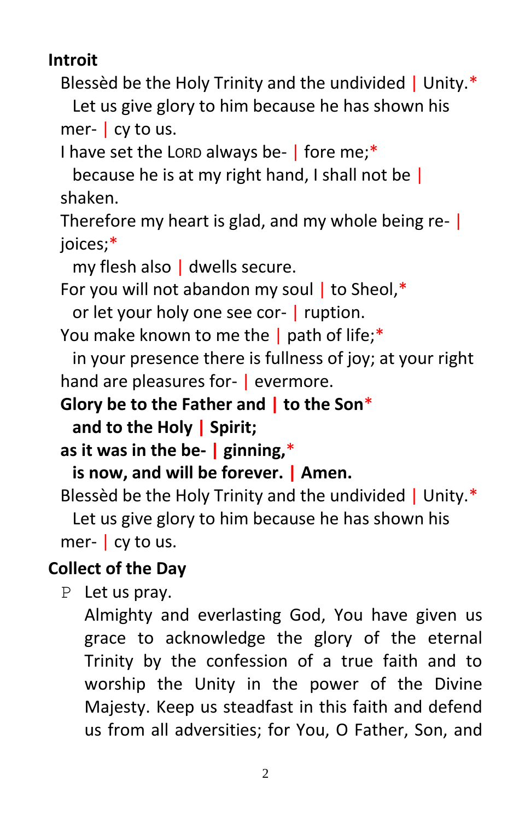**Introit**

Blessèd be the Holy Trinity and the undivided | Unity.\*

Let us give glory to him because he has shown his mer- | cy to us.

I have set the LORD always be- | fore me;\*

because he is at my right hand, I shall not be | shaken.

Therefore my heart is glad, and my whole being re- | joices;\*

my flesh also | dwells secure.

For you will not abandon my soul  $\mathsf{I}$  to Sheol,\*

or let your holy one see cor- | ruption.

You make known to me the | path of life;\*

in your presence there is fullness of joy; at your right hand are pleasures for- | evermore.

**Glory be to the Father and | to the Son**\*

**and to the Holy | Spirit;**

**as it was in the be- | ginning,**\*

**is now, and will be forever. | Amen.**

Blessèd be the Holy Trinity and the undivided | Unity.\* Let us give glory to him because he has shown his mer-  $\vert$  cy to us.

## **Collect of the Day**

P Let us pray.

Almighty and everlasting God, You have given us grace to acknowledge the glory of the eternal Trinity by the confession of a true faith and to worship the Unity in the power of the Divine Majesty. Keep us steadfast in this faith and defend us from all adversities; for You, O Father, Son, and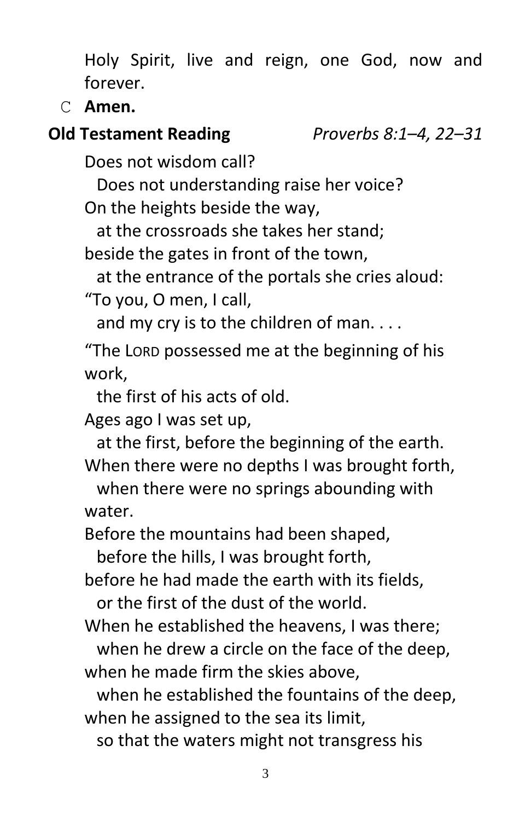Holy Spirit, live and reign, one God, now and forever.

C **Amen.**

## **Old Testament Reading** *Proverbs 8:1–4, 22–31*

Does not wisdom call?

Does not understanding raise her voice?

On the heights beside the way,

at the crossroads she takes her stand;

beside the gates in front of the town,

at the entrance of the portals she cries aloud: "To you, O men, I call,

and my cry is to the children of man. . . .

"The LORD possessed me at the beginning of his work,

the first of his acts of old.

Ages ago I was set up,

at the first, before the beginning of the earth. When there were no depths I was brought forth,

when there were no springs abounding with water.

Before the mountains had been shaped,

before the hills, I was brought forth,

before he had made the earth with its fields,

or the first of the dust of the world.

When he established the heavens, I was there;

when he drew a circle on the face of the deep, when he made firm the skies above,

when he established the fountains of the deep, when he assigned to the sea its limit,

so that the waters might not transgress his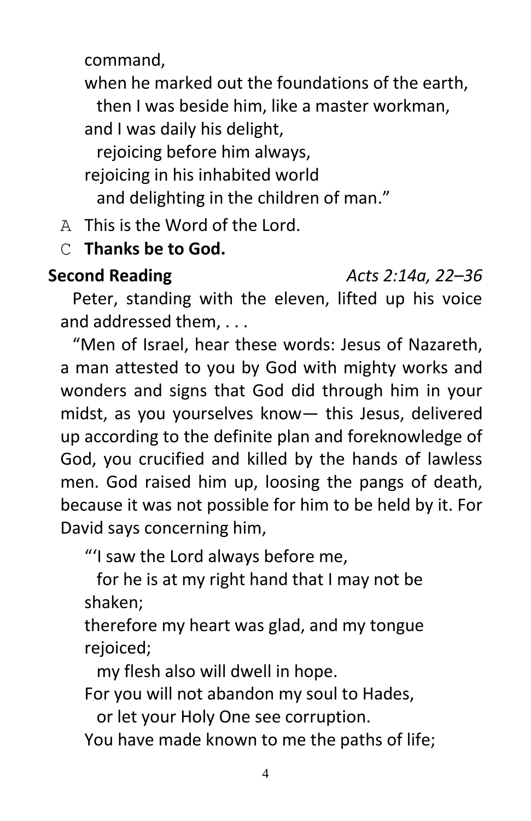command,

when he marked out the foundations of the earth,

then I was beside him, like a master workman,

and I was daily his delight,

rejoicing before him always,

rejoicing in his inhabited world

and delighting in the children of man."

A This is the Word of the Lord.

## C **Thanks be to God.**

#### **Second Reading** *Acts 2:14a, 22–36*

Peter, standing with the eleven, lifted up his voice and addressed them, . . .

"Men of Israel, hear these words: Jesus of Nazareth, a man attested to you by God with mighty works and wonders and signs that God did through him in your midst, as you yourselves know— this Jesus, delivered up according to the definite plan and foreknowledge of God, you crucified and killed by the hands of lawless men. God raised him up, loosing the pangs of death, because it was not possible for him to be held by it. For David says concerning him,

"'I saw the Lord always before me,

for he is at my right hand that I may not be shaken;

therefore my heart was glad, and my tongue rejoiced;

my flesh also will dwell in hope.

For you will not abandon my soul to Hades,

or let your Holy One see corruption.

You have made known to me the paths of life;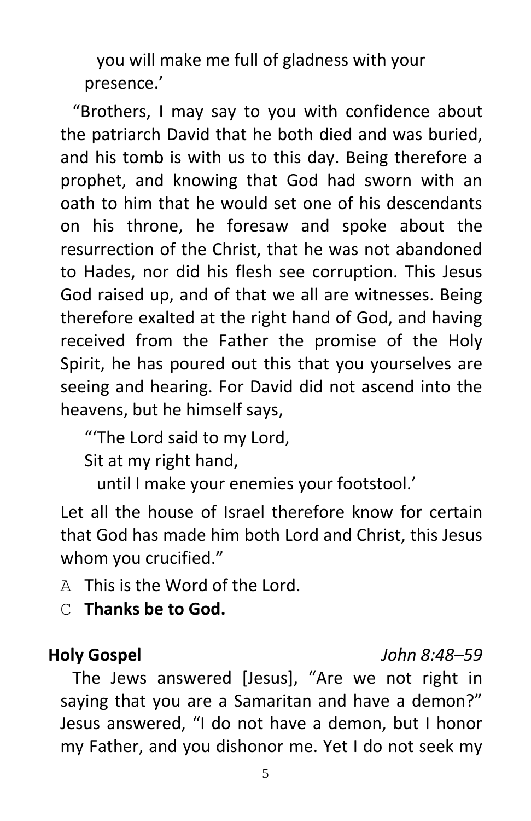you will make me full of gladness with your presence.'

"Brothers, I may say to you with confidence about the patriarch David that he both died and was buried, and his tomb is with us to this day. Being therefore a prophet, and knowing that God had sworn with an oath to him that he would set one of his descendants on his throne, he foresaw and spoke about the resurrection of the Christ, that he was not abandoned to Hades, nor did his flesh see corruption. This Jesus God raised up, and of that we all are witnesses. Being therefore exalted at the right hand of God, and having received from the Father the promise of the Holy Spirit, he has poured out this that you yourselves are seeing and hearing. For David did not ascend into the heavens, but he himself says,

"'The Lord said to my Lord,

Sit at my right hand,

until I make your enemies your footstool.'

Let all the house of Israel therefore know for certain that God has made him both Lord and Christ, this Jesus whom you crucified."

- A This is the Word of the Lord.
- C **Thanks be to God.**

#### **Holy Gospel** *John 8:48–59*

The Jews answered [Jesus], "Are we not right in saying that you are a Samaritan and have a demon?" Jesus answered, "I do not have a demon, but I honor my Father, and you dishonor me. Yet I do not seek my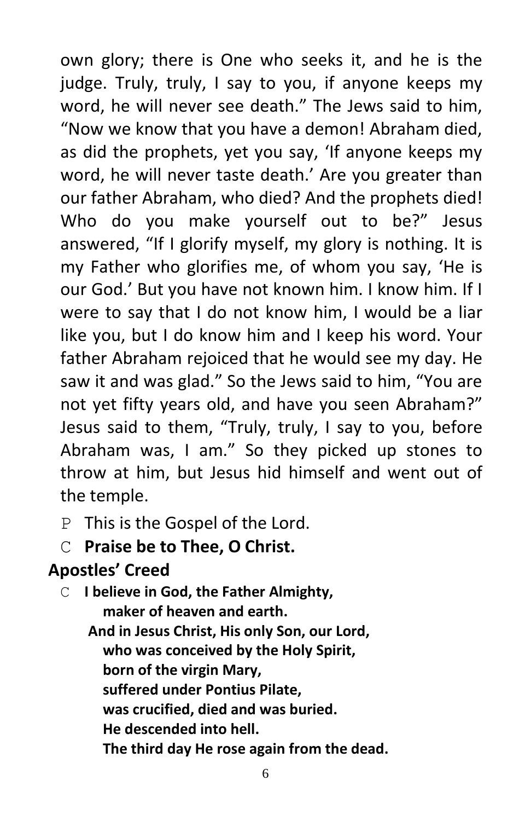own glory; there is One who seeks it, and he is the judge. Truly, truly, I say to you, if anyone keeps my word, he will never see death." The Jews said to him, "Now we know that you have a demon! Abraham died, as did the prophets, yet you say, 'If anyone keeps my word, he will never taste death.' Are you greater than our father Abraham, who died? And the prophets died! Who do you make yourself out to be?" Jesus answered, "If I glorify myself, my glory is nothing. It is my Father who glorifies me, of whom you say, 'He is our God.' But you have not known him. I know him. If I were to say that I do not know him, I would be a liar like you, but I do know him and I keep his word. Your father Abraham rejoiced that he would see my day. He saw it and was glad." So the Jews said to him, "You are not yet fifty years old, and have you seen Abraham?" Jesus said to them, "Truly, truly, I say to you, before Abraham was, I am." So they picked up stones to throw at him, but Jesus hid himself and went out of the temple.

- P This is the Gospel of the Lord.
- C **Praise be to Thee, O Christ.**

## **Apostles' Creed**

C **I believe in God, the Father Almighty, maker of heaven and earth. And in Jesus Christ, His only Son, our Lord, who was conceived by the Holy Spirit, born of the virgin Mary, suffered under Pontius Pilate, was crucified, died and was buried. He descended into hell. The third day He rose again from the dead.**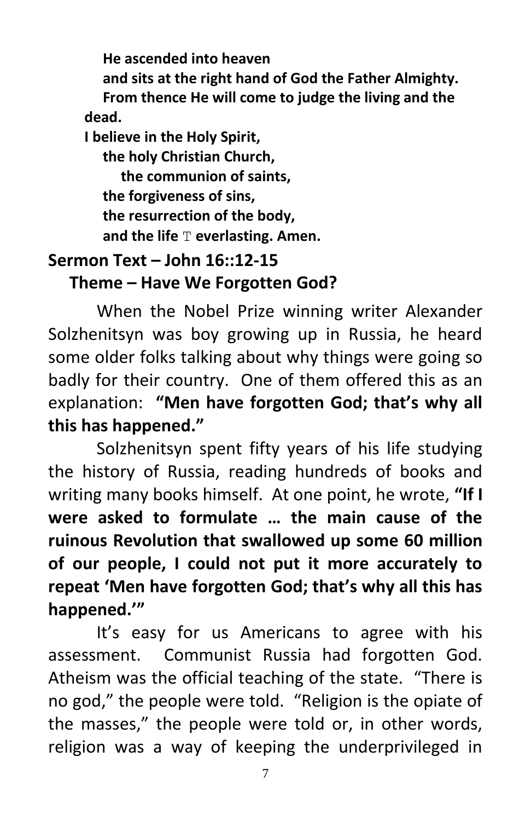**He ascended into heaven and sits at the right hand of God the Father Almighty. From thence He will come to judge the living and the dead. I believe in the Holy Spirit, the holy Christian Church, the communion of saints, the forgiveness of sins, the resurrection of the body,**

 **and the life** T **everlasting. Amen.**

# **Sermon Text – John 16::12-15**

#### **Theme – Have We Forgotten God?**

When the Nobel Prize winning writer Alexander Solzhenitsyn was boy growing up in Russia, he heard some older folks talking about why things were going so badly for their country. One of them offered this as an explanation: **"Men have forgotten God; that's why all this has happened."**

Solzhenitsyn spent fifty years of his life studying the history of Russia, reading hundreds of books and writing many books himself. At one point, he wrote, **"If I were asked to formulate … the main cause of the ruinous Revolution that swallowed up some 60 million of our people, I could not put it more accurately to repeat 'Men have forgotten God; that's why all this has happened.'"**

It's easy for us Americans to agree with his assessment. Communist Russia had forgotten God. Atheism was the official teaching of the state. "There is no god," the people were told. "Religion is the opiate of the masses," the people were told or, in other words, religion was a way of keeping the underprivileged in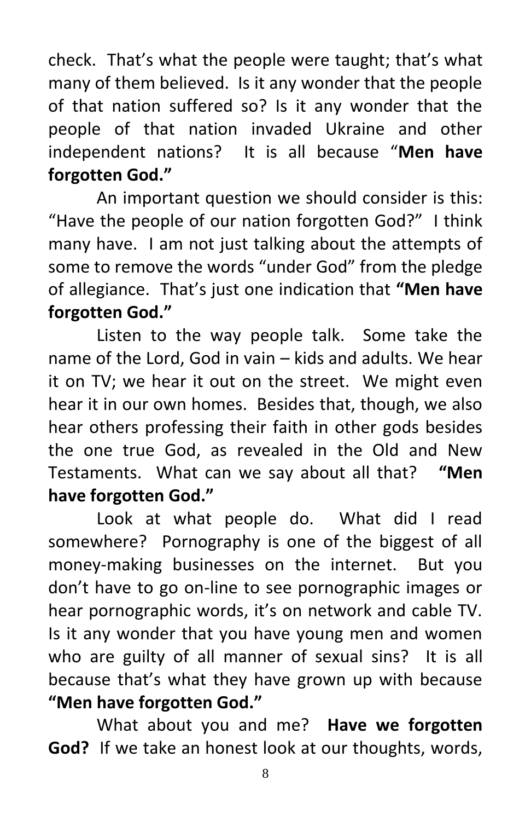check. That's what the people were taught; that's what many of them believed. Is it any wonder that the people of that nation suffered so? Is it any wonder that the people of that nation invaded Ukraine and other independent nations? It is all because "**Men have forgotten God."**

An important question we should consider is this: "Have the people of our nation forgotten God?" I think many have. I am not just talking about the attempts of some to remove the words "under God" from the pledge of allegiance. That's just one indication that **"Men have forgotten God."**

Listen to the way people talk. Some take the name of the Lord, God in vain – kids and adults. We hear it on TV; we hear it out on the street. We might even hear it in our own homes. Besides that, though, we also hear others professing their faith in other gods besides the one true God, as revealed in the Old and New Testaments. What can we say about all that? **"Men have forgotten God."**

Look at what people do. What did I read somewhere? Pornography is one of the biggest of all money-making businesses on the internet. But you don't have to go on-line to see pornographic images or hear pornographic words, it's on network and cable TV. Is it any wonder that you have young men and women who are guilty of all manner of sexual sins? It is all because that's what they have grown up with because **"Men have forgotten God."**

What about you and me? **Have we forgotten God?** If we take an honest look at our thoughts, words,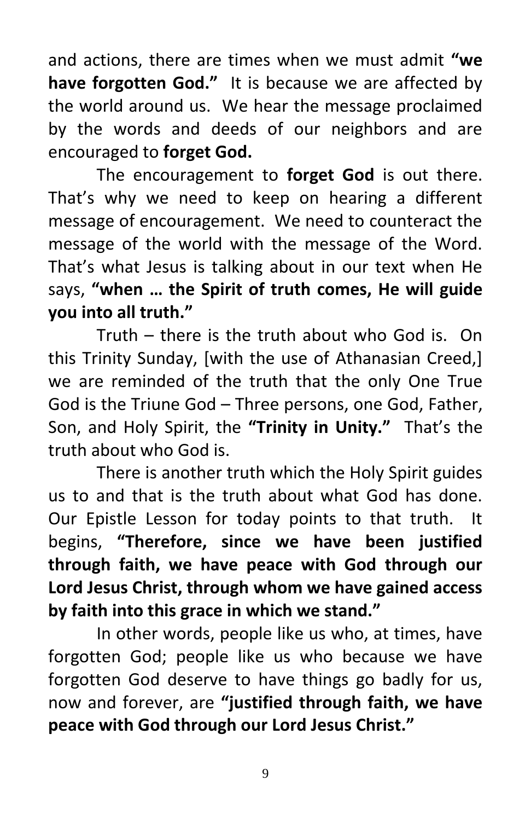and actions, there are times when we must admit **"we have forgotten God."** It is because we are affected by the world around us. We hear the message proclaimed by the words and deeds of our neighbors and are encouraged to **forget God.**

The encouragement to **forget God** is out there. That's why we need to keep on hearing a different message of encouragement. We need to counteract the message of the world with the message of the Word. That's what Jesus is talking about in our text when He says, **"when … the Spirit of truth comes, He will guide you into all truth."**

Truth – there is the truth about who God is. On this Trinity Sunday, [with the use of Athanasian Creed,] we are reminded of the truth that the only One True God is the Triune God – Three persons, one God, Father, Son, and Holy Spirit, the **"Trinity in Unity."** That's the truth about who God is.

There is another truth which the Holy Spirit guides us to and that is the truth about what God has done. Our Epistle Lesson for today points to that truth. It begins, **"Therefore, since we have been justified through faith, we have peace with God through our Lord Jesus Christ, through whom we have gained access by faith into this grace in which we stand."**

In other words, people like us who, at times, have forgotten God; people like us who because we have forgotten God deserve to have things go badly for us, now and forever, are **"justified through faith, we have peace with God through our Lord Jesus Christ."**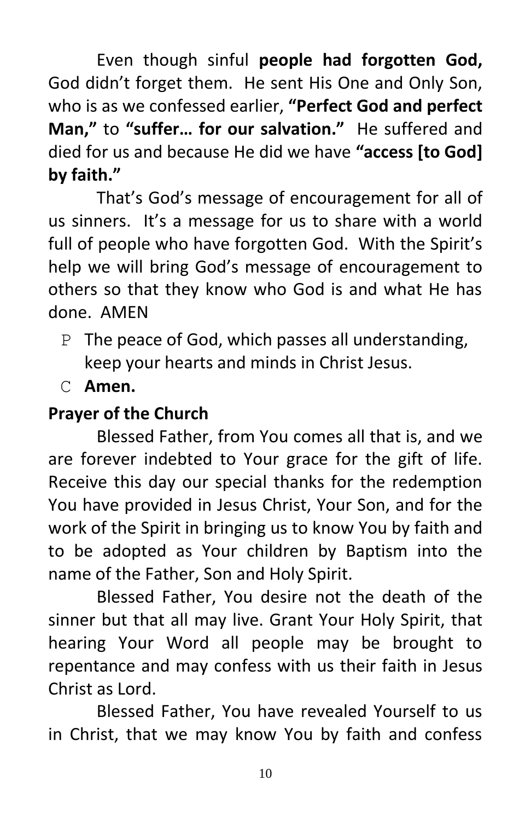Even though sinful **people had forgotten God,**  God didn't forget them. He sent His One and Only Son, who is as we confessed earlier, **"Perfect God and perfect Man,"** to **"suffer… for our salvation."** He suffered and died for us and because He did we have **"access [to God] by faith."**

That's God's message of encouragement for all of us sinners. It's a message for us to share with a world full of people who have forgotten God. With the Spirit's help we will bring God's message of encouragement to others so that they know who God is and what He has done. AMEN

- P The peace of God, which passes all understanding, keep your hearts and minds in Christ Jesus.
- C **Amen.**

## **Prayer of the Church**

Blessed Father, from You comes all that is, and we are forever indebted to Your grace for the gift of life. Receive this day our special thanks for the redemption You have provided in Jesus Christ, Your Son, and for the work of the Spirit in bringing us to know You by faith and to be adopted as Your children by Baptism into the name of the Father, Son and Holy Spirit.

Blessed Father, You desire not the death of the sinner but that all may live. Grant Your Holy Spirit, that hearing Your Word all people may be brought to repentance and may confess with us their faith in Jesus Christ as Lord.

Blessed Father, You have revealed Yourself to us in Christ, that we may know You by faith and confess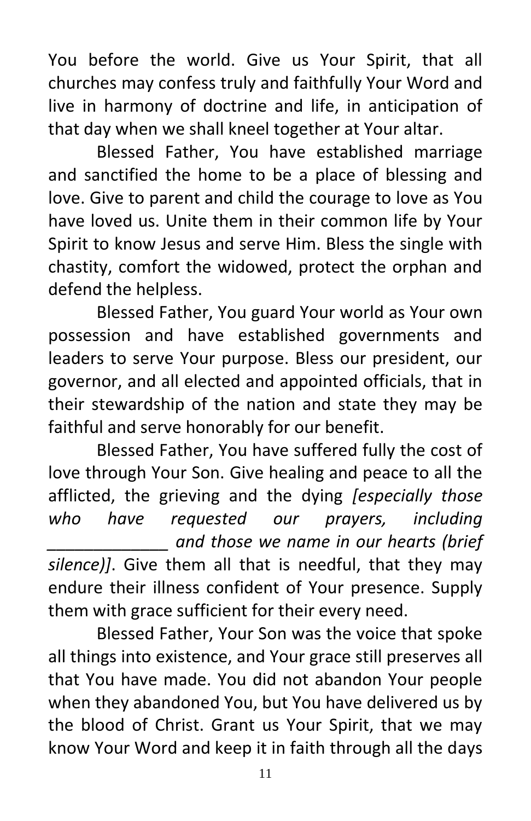You before the world. Give us Your Spirit, that all churches may confess truly and faithfully Your Word and live in harmony of doctrine and life, in anticipation of that day when we shall kneel together at Your altar.

Blessed Father, You have established marriage and sanctified the home to be a place of blessing and love. Give to parent and child the courage to love as You have loved us. Unite them in their common life by Your Spirit to know Jesus and serve Him. Bless the single with chastity, comfort the widowed, protect the orphan and defend the helpless.

Blessed Father, You guard Your world as Your own possession and have established governments and leaders to serve Your purpose. Bless our president, our governor, and all elected and appointed officials, that in their stewardship of the nation and state they may be faithful and serve honorably for our benefit.

Blessed Father, You have suffered fully the cost of love through Your Son. Give healing and peace to all the afflicted, the grieving and the dying *[especially those who have requested our prayers, including \_\_\_\_\_\_\_\_\_\_\_\_\_ and those we name in our hearts (brief silence)]*. Give them all that is needful, that they may endure their illness confident of Your presence. Supply them with grace sufficient for their every need.

Blessed Father, Your Son was the voice that spoke all things into existence, and Your grace still preserves all that You have made. You did not abandon Your people when they abandoned You, but You have delivered us by the blood of Christ. Grant us Your Spirit, that we may know Your Word and keep it in faith through all the days